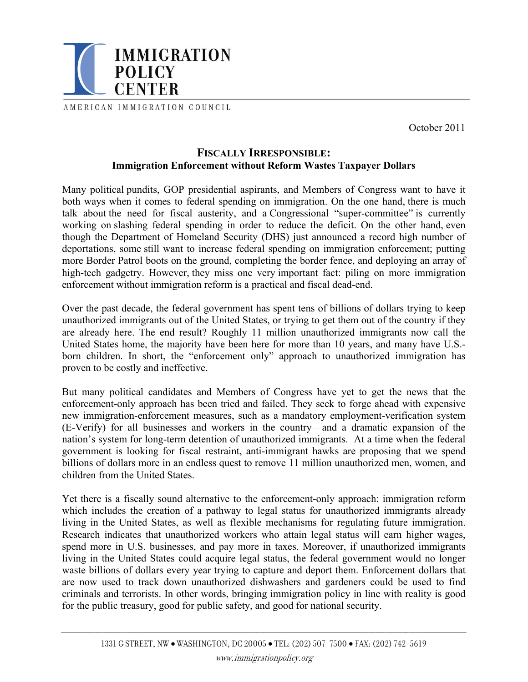

AMERICAN IMMIGRATION COUNCIL

October 2011

# **FISCALLY IRRESPONSIBLE: Immigration Enforcement without Reform Wastes Taxpayer Dollars**

Many political pundits, GOP presidential aspirants, and Members of Congress want to have it both ways when it comes to federal spending on immigration. On the one hand, there is much talk about the need for fiscal austerity, and a Congressional "super-committee" is currently working on slashing federal spending in order to reduce the deficit. On the other hand, even though the Department of Homeland Security (DHS) just announced a record high number of deportations, some still want to increase federal spending on immigration enforcement; putting more Border Patrol boots on the ground, completing the border fence, and deploying an array of high-tech gadgetry. However, they miss one very important fact: piling on more immigration enforcement without immigration reform is a practical and fiscal dead-end.

Over the past decade, the federal government has spent tens of billions of dollars trying to keep unauthorized immigrants out of the United States, or trying to get them out of the country if they are already here. The end result? Roughly 11 million unauthorized immigrants now call the United States home, the majority have been here for more than 10 years, and many have U.S. born children. In short, the "enforcement only" approach to unauthorized immigration has proven to be costly and ineffective.

But many political candidates and Members of Congress have yet to get the news that the enforcement-only approach has been tried and failed. They seek to forge ahead with expensive new immigration-enforcement measures, such as a mandatory employment-verification system (E-Verify) for all businesses and workers in the country—and a dramatic expansion of the nation's system for long-term detention of unauthorized immigrants. At a time when the federal government is looking for fiscal restraint, anti-immigrant hawks are proposing that we spend billions of dollars more in an endless quest to remove 11 million unauthorized men, women, and children from the United States.

Yet there is a fiscally sound alternative to the enforcement-only approach: immigration reform which includes the creation of a pathway to legal status for unauthorized immigrants already living in the United States, as well as flexible mechanisms for regulating future immigration. Research indicates that unauthorized workers who attain legal status will earn higher wages, spend more in U.S. businesses, and pay more in taxes. Moreover, if unauthorized immigrants living in the United States could acquire legal status, the federal government would no longer waste billions of dollars every year trying to capture and deport them. Enforcement dollars that are now used to track down unauthorized dishwashers and gardeners could be used to find criminals and terrorists. In other words, bringing immigration policy in line with reality is good for the public treasury, good for public safety, and good for national security.

\_\_\_\_\_\_\_\_\_\_\_\_\_\_\_\_\_\_\_\_\_\_\_\_\_\_\_\_\_\_\_\_\_\_\_\_\_\_\_\_\_\_\_\_\_\_\_\_\_\_\_\_\_\_\_\_\_\_\_\_\_\_\_\_\_\_\_\_\_\_\_\_\_\_\_\_\_\_\_\_\_\_\_\_\_\_\_\_\_\_\_\_\_\_\_\_\_\_\_\_\_\_\_\_\_\_\_\_\_\_\_\_\_\_\_\_\_\_\_\_\_\_\_\_\_\_\_\_\_\_\_\_\_\_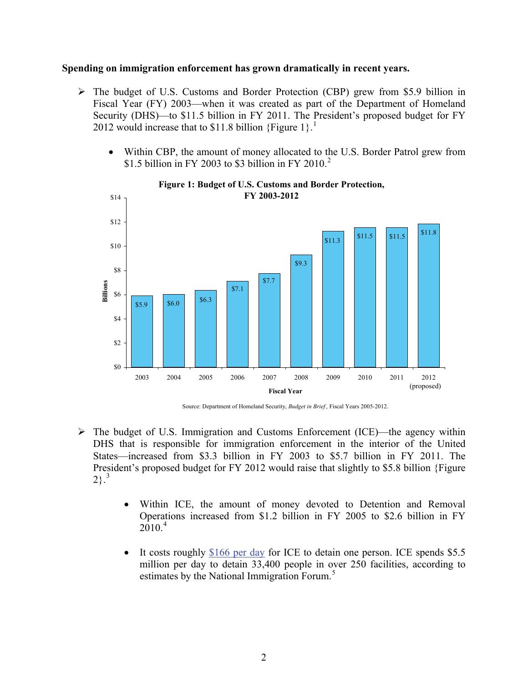#### **Spending on immigration enforcement has grown dramatically in recent years.**

- $\triangleright$  The budget of U.S. Customs and Border Protection (CBP) grew from \$5.9 billion in Fiscal Year (FY) 2003—when it was created as part of the Department of Homeland Security (DHS)—to \$11.5 billion in FY 2011. The President's proposed budget for FY 20[1](#page-5-0)2 would increase that to \$11.8 billion {Figure 1}.<sup>1</sup>
	- Within CBP, the amount of money allocated to the U.S. Border Patrol grew from \$1.5 billion in FY [2](#page-5-1)003 to \$3 billion in FY 2010.<sup>2</sup>



#### **Figure 1: Budget of U.S. Customs and Border Protection, FY 2003-2012**

Source: Department of Homeland Security, *Budget in Brief* , Fiscal Years 2005-2012.

- $\triangleright$  The budget of U.S. Immigration and Customs Enforcement (ICE)—the agency within DHS that is responsible for immigration enforcement in the interior of the United States—increased from \$3.3 billion in FY 2003 to \$5.7 billion in FY 2011. The President's proposed budget for FY 2012 would raise that slightly to \$5.8 billion {Figure  $2\}$ .<sup>[3](#page-5-1)</sup>
	- Within ICE, the amount of money devoted to Detention and Removal Operations increased from \$1.2 billion in FY 2005 to \$2.6 billion in FY  $2010.<sup>4</sup>$  $2010.<sup>4</sup>$  $2010.<sup>4</sup>$
	- It costs roughly [\\$166 per day](http://www.immigrationforum.org/images/uploads/MathofImmigrationDetention.pdf) for ICE to detain one person. ICE spends \$5.5 million per day to detain 33,400 people in over 250 facilities, according to estimates by the National Immigration Forum.<sup>[5](#page-5-1)</sup>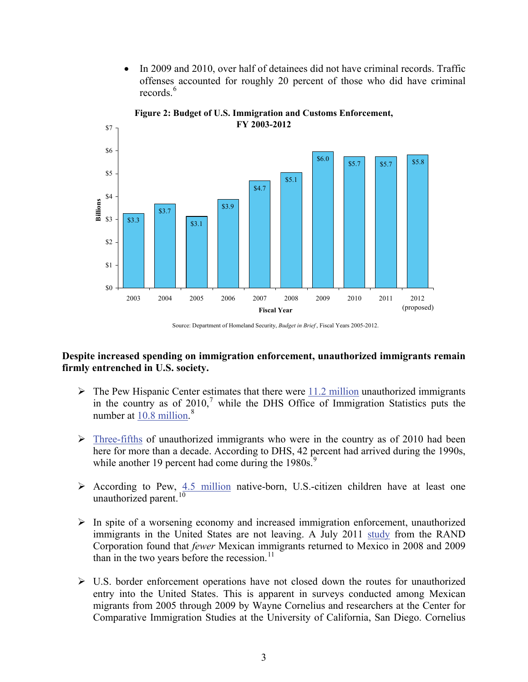• In 2009 and 2010, over half of detainees did not have criminal records. Traffic offenses accounted for roughly 20 percent of those who did have criminal records.<sup>[6](#page-5-1)</sup>



**Figure 2: Budget of U.S. Immigration and Customs Enforcement, FY 2003-2012**

### **Despite increased spending on immigration enforcement, unauthorized immigrants remain firmly entrenched in U.S. society.**

- $\triangleright$  The Pew Hispanic Center estimates that there were  $\frac{11.2 \text{ million unauthorized impirants}}{11.2 \text{ million unauthorized impirants}}$ in the country as of  $2010$ ,<sup>[7](#page-5-1)</sup> while the DHS Office of Immigration Statistics puts the number at  $10.8$  $10.8$  million.<sup>8</sup>
- $\triangleright$  [Three-fifths](http://www.dhs.gov/xlibrary/assets/statistics/publications/ois_ill_pe_2010.pdf#page=3) of unauthorized immigrants who were in the country as of 2010 had been here for more than a decade. According to DHS, 42 percent had arrived during the 1990s, while another 1[9](#page-5-1) percent had come during the  $1980s$ .<sup>9</sup>
- $\triangleright$  According to Pew, [4.5 million](http://pewhispanic.org/files/reports/133.pdf#page=14) native-born, U.S.-citizen children have at least one unauthorized parent.<sup>[10](#page-5-1)</sup>
- $\triangleright$  In spite of a worsening economy and increased immigration enforcement, unauthorized immigrants in the United States are not leaving. A July 2011 [study](http://www.rand.org/news/press/2011/07/13.html) from the RAND Corporation found that *fewer* Mexican immigrants returned to Mexico in 2008 and 2009 than in the two years before the recession. $^{11}$  $^{11}$  $^{11}$
- $\triangleright$  U.S. border enforcement operations have not closed down the routes for unauthorized entry into the United States. This is apparent in surveys conducted among Mexican migrants from 2005 through 2009 by Wayne Cornelius and researchers at the Center for Comparative Immigration Studies at the University of California, San Diego. Cornelius

Source: Department of Homeland Security, *Budget in Brief* , Fiscal Years 2005-2012.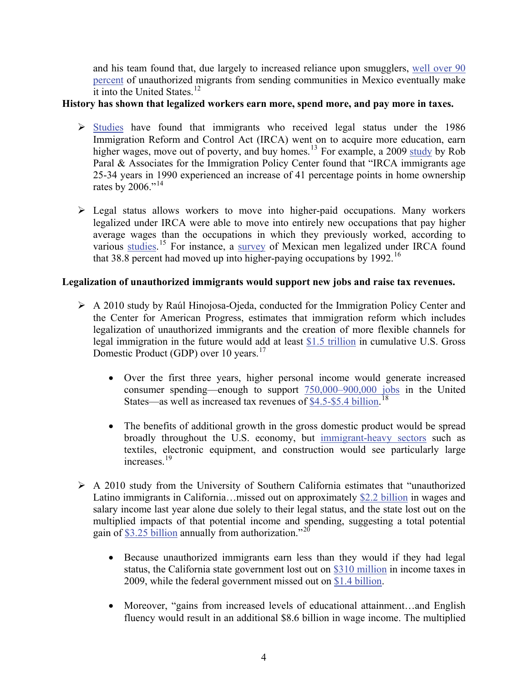and his team found that, due largely to increased reliance upon smugglers, well over 90 percent of unauthorized migrants from sending communities in Mexico eventually make it into the United States.<sup>12</sup>

# **History has shown that legalized workers earn more, spend more, and pay more in taxes.**

- $\triangleright$  [Studies](http://www.immigrationpolicy.org/sites/default/files/docs/Hinojosa  Raising the Floor for American Workers 010710.pdf#page=9) have found that immigrants who received legal status under the 1986 Immigration Reform and Control Act (IRCA) went on to acquire more education, earn higher wages, move out of poverty, and buy homes.<sup>[13](#page-5-1)</sup> For example, a 2009 [study](http://www.immigrationpolicy.org/sites/default/files/docs/Economic_Progress_via_Legalization_-_Paral_110509.pdf#page=11) by Rob Paral & Associates for the Immigration Policy Center found that "IRCA immigrants age 25-34 years in 1990 experienced an increase of 41 percentage points in home ownership rates by  $2006.^{614}$  $2006.^{614}$  $2006.^{614}$
- $\triangleright$  Legal status allows workers to move into higher-paid occupations. Many workers legalized under IRCA were able to move into entirely new occupations that pay higher average wages than the occupations in which they previously worked, according to various [studies](http://www.migrationinformation.org/Feature/display.cfm?ID=233).<sup>[15](#page-5-1)</sup> For instance, a [survey](http://ideas.repec.org/a/spr/jopoec/v13y2000i1p81-98.html) of Mexican men legalized under IRCA found that 38.8 percent had moved up into higher-paying occupations by 1992.<sup>[16](#page-5-1)</sup>

# **Legalization of unauthorized immigrants would support new jobs and raise tax revenues.**

- ¾ A 2010 study by Raúl Hinojosa-Ojeda, conducted for the Immigration Policy Center and the Center for American Progress, estimates that immigration reform which includes legalization of unauthorized immigrants and the creation of more flexible channels for legal immigration in the future would add at least [\\$1.5 trillion](http://www.immigrationpolicy.org/sites/default/files/docs/Hinojosa - Raising the Floor for American Workers 010710.pdf#page=3) in cumulative U.S. Gross Domestic Product (GDP) over 10 years.<sup>[17](#page-5-1)</sup>
	- Over the first three years, higher personal income would generate increased consumer spending—enough to support [750,000–900,000 jobs](http://www.immigrationpolicy.org/sites/default/files/docs/Hinojosa - Raising the Floor for American Workers 010710.pdf#page=4) in the United States—as well as increased tax revenues of [\\$4.5-\\$5.4 billion](http://www.immigrationpolicy.org/sites/default/files/docs/Hinojosa - Raising the Floor for American Workers 010710.pdf#page=4).<sup>[18](#page-5-1)</sup>
	- The benefits of additional growth in the gross domestic product would be spread broadly throughout the U.S. economy, but [immigrant-heavy sectors](http://www.immigrationpolicy.org/sites/default/files/docs/Hinojosa - Raising the Floor for American Workers 010710.pdf#page=4) such as textiles, electronic equipment, and construction would see particularly large increases<sup>[19](#page-5-1)</sup>
- $\triangleright$  A 2010 study from the University of Southern California estimates that "unauthorized" Latino immigrants in California…missed out on approximately [\\$2.2 billion](http://csii.usc.edu/documents/economic_benefits_immigrant_authorization.pdf#page=3) in wages and salary income last year alone due solely to their legal status, and the state lost out on the multiplied impacts of that potential income and spending, suggesting a total potential gain of [\\$3.25 billion](http://csii.usc.edu/documents/economic_benefits_immigrant_authorization.pdf#page=3) annually from authorization."[20](#page-5-1)
	- Because unauthorized immigrants earn less than they would if they had legal status, the California state government lost out on [\\$310 million](http://csii.usc.edu/documents/economic_benefits_immigrant_authorization.pdf#page=3) in income taxes in 2009, while the federal government missed out on [\\$1.4 billion.](http://csii.usc.edu/documents/economic_benefits_immigrant_authorization.pdf#page=3)
	- Moreover, "gains from increased levels of educational attainment...and English fluency would result in an additional \$8.6 billion in wage income. The multiplied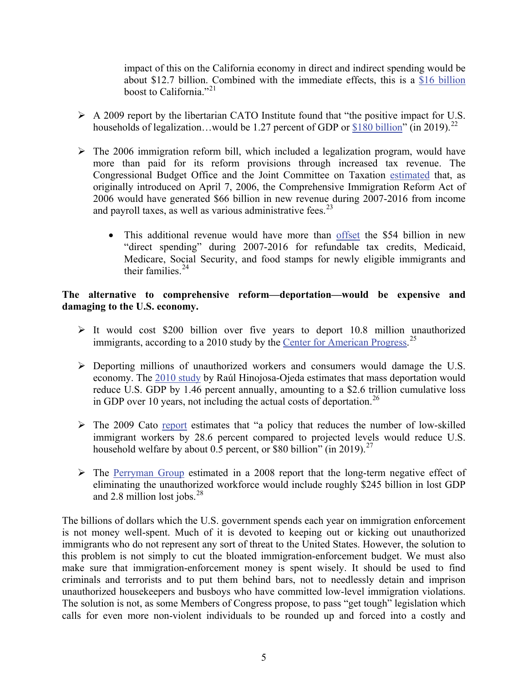impact of this on the California economy in direct and indirect spending would be about \$12.7 billion. Combined with the immediate effects, this is a \$16 billion boost to California."<sup>21</sup>

- $\triangleright$  A 2009 report by the libertarian CATO Institute found that "the positive impact for U.S. households of legalization...would be 1.27 percent of GDP or [\\$180 billion"](http://www.cato.org/pubs/tpa/tpa-040.pdf) (in 2019).<sup>[22](#page-5-1)</sup>
- $\triangleright$  The 2006 immigration reform bill, which included a legalization program, would have more than paid for its reform provisions through increased tax revenue. The Congressional Budget Office and the Joint Committee on Taxation [estimated](http://www.cbo.gov/ftpdocs/72xx/doc7208/s2611.pdf#page=29) that, as originally introduced on April 7, 2006, the Comprehensive Immigration Reform Act of 2006 would have generated \$66 billion in new revenue during 2007-2016 from income and payroll taxes, as well as various administrative fees. $^{23}$  $^{23}$  $^{23}$ 
	- This additional revenue would have more than [offset](http://www.cbo.gov/ftpdocs/72xx/doc7208/s2611.pdf#page=43) the \$54 billion in new "direct spending" during 2007-2016 for refundable tax credits, Medicaid, Medicare, Social Security, and food stamps for newly eligible immigrants and their families. $24$

# **The alternative to comprehensive reform—deportation—would be expensive and damaging to the U.S. economy.**

- $\triangleright$  It would cost \$200 billion over five years to deport 10.8 million unauthorized immigrants, according to a 2010 study by the [Center for American Progress.](http://www.americanprogress.org/issues/2010/03/pdf/cost_of_deportation.pdf)<sup>[25](#page-5-1)</sup>
- $\triangleright$  Deporting millions of unauthorized workers and consumers would damage the U.S. economy. The [2010 study](http://www.immigrationpolicy.org/sites/default/files/docs/Hinojosa - Raising the Floor for American Workers 010710.pdf#page=14) by Raúl Hinojosa-Ojeda estimates that mass deportation would reduce U.S. GDP by 1.46 percent annually, amounting to a \$2.6 trillion cumulative loss in GDP over 10 years, not including the actual costs of deportation.<sup>[26](#page-6-0)</sup>
- $\triangleright$  The 2009 Cato [report](http://www.cato.org/pubs/tpa/tpa-040.pdf) estimates that "a policy that reduces the number of low-skilled immigrant workers by 28.6 percent compared to projected levels would reduce U.S. household welfare by about 0.5 percent, or \$80 billion" (in 2019).<sup>[27](#page-6-0)</sup>
- $\triangleright$  The [Perryman Group](http://www.americansforimmigrationreform.com/files/Impact_of_the_Undocumented_Workforce.pdf#page=69) estimated in a 2008 report that the long-term negative effect of eliminating the unauthorized workforce would include roughly \$245 billion in lost GDP and 2.8 million lost jobs. $28$

The billions of dollars which the U.S. government spends each year on immigration enforcement is not money well-spent. Much of it is devoted to keeping out or kicking out unauthorized immigrants who do not represent any sort of threat to the United States. However, the solution to this problem is not simply to cut the bloated immigration-enforcement budget. We must also make sure that immigration-enforcement money is spent wisely. It should be used to find criminals and terrorists and to put them behind bars, not to needlessly detain and imprison unauthorized housekeepers and busboys who have committed low-level immigration violations. The solution is not, as some Members of Congress propose, to pass "get tough" legislation which calls for even more non-violent individuals to be rounded up and forced into a costly and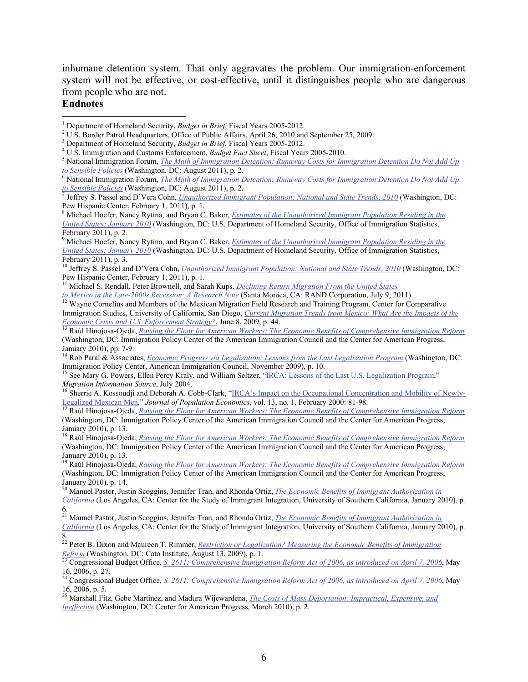inhumane detention system. That only aggravates the problem. Our immigration-enforcement system will not be effective, or cost-effective, until it distinguishes people who are dangerous from people who are not.

### **Endnotes**

 $\overline{a}$ 

8 Michael Hoefer, Nancy Rytina, and Bryan C. Baker, *[Estimates of the Unauthorized Immigrant Population Residing in the](http://www.dhs.gov/xlibrary/assets/statistics/publications/ois_ill_pe_2010.pdf)  [United States: January 2010](http://www.dhs.gov/xlibrary/assets/statistics/publications/ois_ill_pe_2010.pdf)* (Washington, DC: U.S. Department of Homeland Security, Office of Immigration Statistics, February 2011), p. 2.

9 Michael Hoefer, Nancy Rytina, and Bryan C. Baker, *[Estimates of the Unauthorized Immigrant Population Residing in the](http://www.dhs.gov/xlibrary/assets/statistics/publications/ois_ill_pe_2010.pdf)  [United States: January 2010](http://www.dhs.gov/xlibrary/assets/statistics/publications/ois_ill_pe_2010.pdf)* (Washington, DC: U.S. Department of Homeland Security, Office of Immigration Statistics, February 2011), p. 3.

<sup>11</sup> Michael S. Rendall, Peter Brownell, and Sarah Kups, *[Declining Return Migration From the United States](http://www.rand.org/news/press/2011/07/13.html)* 

toMexico in the Late-2000s Recession: A Research Note (Santa Monica, CA: RAND Corporation, July 9, 2011).<br><sup>12</sup> Wayne Cornelius and Members of the Mexican Migration Field Research and Training Program, Center for Comparati Immigration Studies, University of California, San Diego, *[Current Migration Trends from Mexico: What Are the Impacts of the](http://www.immigrationpolicy.org/sites/default/files/docs/MigrationCornelius060809.pdf#page=44)  Economic Crisis and U.S. Enforcement Strategy?*, June 8, 2009, p. 44.<br><sup>13</sup> Raúl Hinojosa-Ojeda, *[Raising the Floor for American Workers: The Economic Benefits of Comprehensive Immigration Reform](http://www.immigrationpolicy.org/sites/default/files/docs/Hinojosa%20-%20Raising%20the%20Floor%20for%20American%20Workers%20010710.pdf)* 

(Washington, DC: Immigration Policy Center of the American Immigration Council and the Center for American Progress, January 2010), pp. 7-9.

14 Rob Paral & Associates, *[Economic Progress via Legalization: Lessons from the Last Legalization Program](http://www.immigrationpolicy.org/sites/default/files/docs/Economic_Progress_via_Legalization_-_Paral_110509.pdf)* (Washington, DC:

<sup>15</sup> See Mary G. Powers, Ellen Percy Kraly, and William Seltzer, "[IRCA: Lessons of the Last U.S. Legalization Program](http://www.migrationinformation.org/Feature/display.cfm?ID=233)," *Migration Information Source*, July 2004.<br><sup>16</sup> Sherrie A. Kossoudji and Deborah A. Cobb-Clark, "[IRCA's Impact on the Occupational Concentration and Mobility of Newly-](http://ideas.repec.org/a/spr/jopoec/v13y2000i1p81-98.html)

Legalized Mexican Men," Journal of Population Economics, vol. 13, no. 1, February 2000: 81-98.<br><sup>[17](http://ideas.repec.org/a/spr/jopoec/v13y2000i1p81-98.html)</sup> Raúl Hinojosa-Ojeda, *[Raising the Floor for American Workers: The Economic Benefits of Comprehensive Immigration Reform](http://www.immigrationpolicy.org/sites/default/files/docs/Hinojosa%20-%20Raising%20the%20Floor%20for%20American%20Workers%20010710.pdf)* 

(Washington, DC: Immigration Policy Center of the American Immigration Council and the Center for American Progress, January 2010), p. 13.

18 Raúl Hinojosa-Ojeda, *[Raising the Floor for American Workers: The Economic Benefits of Comprehensive Immigration Reform](http://www.immigrationpolicy.org/sites/default/files/docs/Hinojosa%20-%20Raising%20the%20Floor%20for%20American%20Workers%20010710.pdf)* (Washington, DC: Immigration Policy Center of the American Immigration Council and the Center for American Progress, January 2010), p. 13.

19 Raúl Hinojosa-Ojeda, *[Raising the Floor for American Workers: The Economic Benefits of Comprehensive Immigration Reform](http://www.immigrationpolicy.org/sites/default/files/docs/Hinojosa%20-%20Raising%20the%20Floor%20for%20American%20Workers%20010710.pdf)* (Washington, DC: Immigration Policy Center of the American Immigration Council and the Center for American Progress, January 2010), p. 14.

20 Manuel Pastor, Justin Scoggins, Jennifer Tran, and Rhonda Ortiz, *[The Economic Benefits of Immigrant Authorization in](http://csii.usc.edu/documents/economic_benefits_immigrant_authorization.pdf)  [California](http://csii.usc.edu/documents/economic_benefits_immigrant_authorization.pdf)* (Los Angeles, CA: Center for the Study of Immigrant Integration, University of Southern California, January 2010), p. 6.

21 Manuel Pastor, Justin Scoggins, Jennifer Tran, and Rhonda Ortiz, *[The Economic Benefits of Immigrant Authorization in](http://csii.usc.edu/documents/economic_benefits_immigrant_authorization.pdf)  [California](http://csii.usc.edu/documents/economic_benefits_immigrant_authorization.pdf)* (Los Angeles, CA: Center for the Study of Immigrant Integration, University of Southern California, January 2010), p. 8.

22 Peter B. Dixon and Maureen T. Rimmer, *[Restriction or Legalization? Measuring the Economic Benefits of Immigration](http://www.cato.org/pubs/tpa/tpa-040.pdf)  Reform*(Washington, DC: Cato Institute, August 13, 2009), p. 1.<br><sup>[23](http://www.cato.org/pubs/tpa/tpa-040.pdf)</sup> Congressional Budget Office, <u>[S. 2611: Comprehensive Immigration Reform Act of 2006, as introduced on April 7, 2006](http://www.cbo.gov/ftpdocs/72xx/doc7208/s2611.pdf), May</u>

16, 2006, p. 27.

24 Congressional Budget Office, *[S. 2611: Comprehensive Immigration Reform Act of 2006, as introduced on April 7, 2006](http://www.cbo.gov/ftpdocs/72xx/doc7208/s2611.pdf)*, May 16, 2006, p. 5.

25 Marshall Fitz, Gebe Martinez, and Madura Wijewardena, *[The Costs of Mass Deportation: Impractical, Expensive, and](http://www.americanprogress.org/issues/2010/03/pdf/cost_of_deportation.pdf)  [Ineffective](http://www.americanprogress.org/issues/2010/03/pdf/cost_of_deportation.pdf)* (Washington, DC: Center for American Progress, March 2010), p. 2.

<span id="page-5-1"></span><span id="page-5-0"></span><sup>&</sup>lt;sup>1</sup> Department of Homeland Security, *Budget in Brief*, Fiscal Years 2005-2012. <sup>1</sup> Department of Homeland Security, *Budget in Brief*, Fiscal Years 2005-2012.<br><sup>2</sup> U.S. Border Betrol Hondquerters, Office of Bublie Affairs, April 26, 2010 and

<sup>&</sup>lt;sup>2</sup> U.S. Border Patrol Headquarters, Office of Public Affairs, April 26, 2010 and September 25, 2009.<br><sup>3</sup> Department of Homeland Sequrity, *Pudset in Priof*, Fiscal Vegrs 2005, 2012.

<sup>&</sup>lt;sup>3</sup> Department of Homeland Security, *Budget in Brief*, Fiscal Years 2005-2012.

<sup>&</sup>lt;sup>4</sup> U.S. Immigration and Customs Enforcement, *Budget Fact Sheet*, Fiscal Years 2005-2010.

National Immigration Forum, *[The Math of Immigration Detention: Runaway Costs for Immigration Detention Do Not Add Up](http://www.immigrationforum.org/images/uploads/MathofImmigrationDetention.pdf)*  toSensible Policies (Washington, DC: August 2011), p. 2.<br><sup>[6](http://www.immigrationforum.org/images/uploads/MathofImmigrationDetention.pdf)</sup> National Immigration Forum, *<u>The Math of Immigration Detention: Runaway Costs for Immigration Detention Do Not Add Up</u>* 

*toSensible Policies* (Washington, DC: August 2011), p. 2.

Jeffrey S. Passel and D'Vera Cohn, *[Unauthorized Immigrant Population: National and State Trends, 2010](http://pewhispanic.org/files/reports/133.pdf)* (Washington, DC: Pew Hispanic Center, February 1, 2011), p. 1.

<sup>&</sup>lt;sup>10</sup> Jeffrey S. Passel and D'Vera Cohn, *[Unauthorized Immigrant Population: National and State Trends, 2010](http://pewhispanic.org/files/reports/133.pdf)* (Washington, DC: Pew Hispanic Center, February 1, 2011), p. 1.